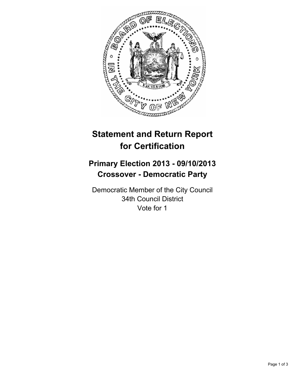

# **Statement and Return Report for Certification**

## **Primary Election 2013 - 09/10/2013 Crossover - Democratic Party**

Democratic Member of the City Council 34th Council District Vote for 1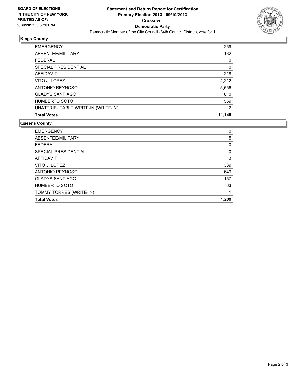

## **Kings County**

| <b>Total Votes</b>                 | 11,149         |
|------------------------------------|----------------|
| UNATTRIBUTABLE WRITE-IN (WRITE-IN) | $\overline{2}$ |
| <b>HUMBERTO SOTO</b>               | 569            |
| <b>GLADYS SANTIAGO</b>             | 810            |
| <b>ANTONIO REYNOSO</b>             | 5,556          |
| VITO J. LOPEZ                      | 4,212          |
| <b>AFFIDAVIT</b>                   | 218            |
| SPECIAL PRESIDENTIAL               | 0              |
| FFDFRAI                            | 0              |
| ABSENTEE/MILITARY                  | 162            |
| <b>EMERGENCY</b>                   | 259            |

### **Queens County**

| <b>Total Votes</b>      | 1.209 |
|-------------------------|-------|
| TOMMY TORRES (WRITE-IN) |       |
| <b>HUMBERTO SOTO</b>    | 63    |
| <b>GLADYS SANTIAGO</b>  | 157   |
| ANTONIO REYNOSO         | 649   |
| VITO J. LOPEZ           | 339   |
| AFFIDAVIT               | 13    |
| SPECIAL PRESIDENTIAL    | 0     |
| <b>FEDERAL</b>          | 0     |
| ABSENTEE/MILITARY       | 15    |
| <b>EMERGENCY</b>        | 0     |